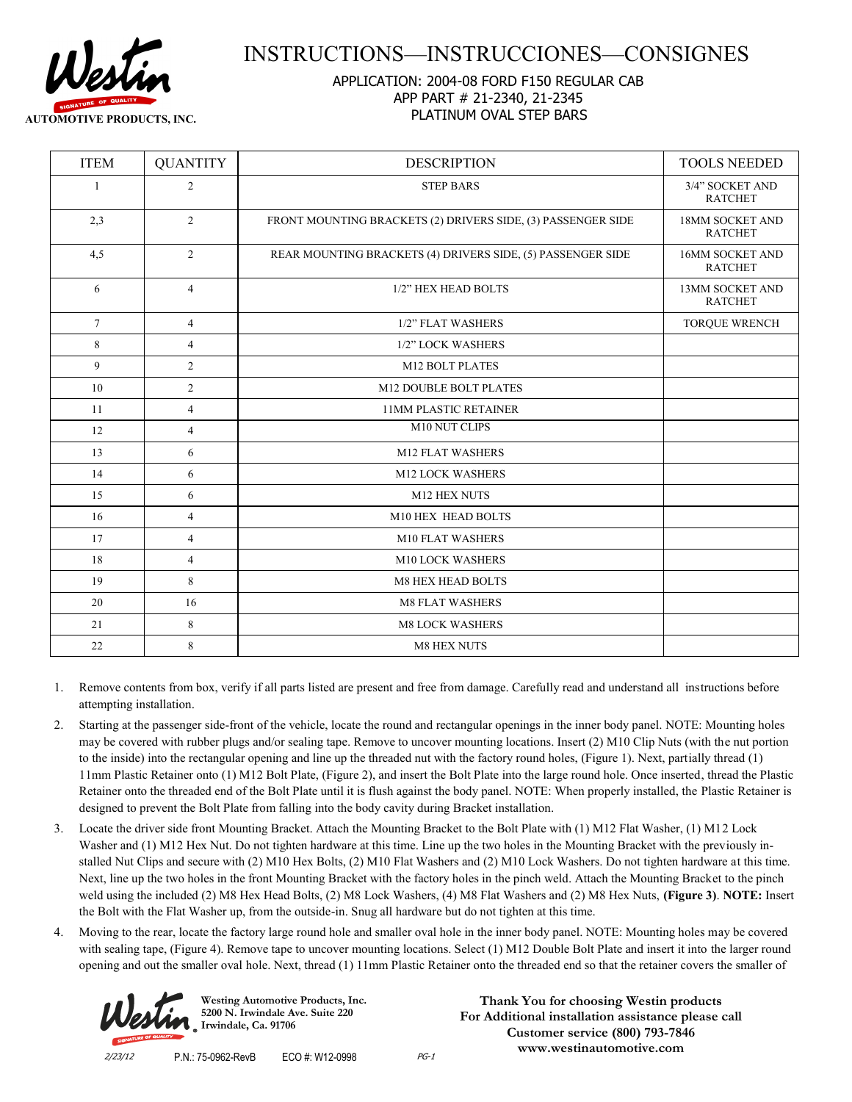

## INSTRUCTIONS—INSTRUCCIONES—CONSIGNES

## APPLICATION: 2004-08 FORD F150 REGULAR CAB APP PART # 21-2340, 21-2345 PLATINUM OVAL STEP BARS

| <b>ITEM</b> | <b>QUANTITY</b> | <b>DESCRIPTION</b>                                           | <b>TOOLS NEEDED</b>                      |
|-------------|-----------------|--------------------------------------------------------------|------------------------------------------|
| 1           | $\overline{2}$  | <b>STEP BARS</b>                                             | 3/4" SOCKET AND<br><b>RATCHET</b>        |
| 2,3         | $\overline{2}$  | FRONT MOUNTING BRACKETS (2) DRIVERS SIDE, (3) PASSENGER SIDE | <b>18MM SOCKET AND</b><br><b>RATCHET</b> |
| 4,5         | $\overline{2}$  | REAR MOUNTING BRACKETS (4) DRIVERS SIDE, (5) PASSENGER SIDE  | 16MM SOCKET AND<br><b>RATCHET</b>        |
| 6           | $\overline{4}$  | 1/2" HEX HEAD BOLTS                                          | <b>13MM SOCKET AND</b><br><b>RATCHET</b> |
| $\tau$      | $\overline{4}$  | 1/2" FLAT WASHERS                                            | <b>TORQUE WRENCH</b>                     |
| 8           | $\overline{4}$  | 1/2" LOCK WASHERS                                            |                                          |
| 9           | $\overline{2}$  | <b>M12 BOLT PLATES</b>                                       |                                          |
| 10          | $\overline{2}$  | M12 DOUBLE BOLT PLATES                                       |                                          |
| 11          | 4               | <b>11MM PLASTIC RETAINER</b>                                 |                                          |
| 12          | $\overline{4}$  | M10 NUT CLIPS                                                |                                          |
| 13          | 6               | <b>M12 FLAT WASHERS</b>                                      |                                          |
| 14          | 6               | <b>M12 LOCK WASHERS</b>                                      |                                          |
| 15          | 6               | M12 HEX NUTS                                                 |                                          |
| 16          | $\overline{4}$  | M10 HEX HEAD BOLTS                                           |                                          |
| 17          | $\overline{4}$  | M10 FLAT WASHERS                                             |                                          |
| 18          | $\overline{4}$  | M10 LOCK WASHERS                                             |                                          |
| 19          | 8               | <b>M8 HEX HEAD BOLTS</b>                                     |                                          |
| 20          | 16              | <b>M8 FLAT WASHERS</b>                                       |                                          |
| 21          | 8               | <b>M8 LOCK WASHERS</b>                                       |                                          |
| 22          | 8               | <b>M8 HEX NUTS</b>                                           |                                          |

- 1. Remove contents from box, verify if all parts listed are present and free from damage. Carefully read and understand all instructions before attempting installation.
- 2. Starting at the passenger side-front of the vehicle, locate the round and rectangular openings in the inner body panel. NOTE: Mounting holes may be covered with rubber plugs and/or sealing tape. Remove to uncover mounting locations. Insert (2) M10 Clip Nuts (with the nut portion to the inside) into the rectangular opening and line up the threaded nut with the factory round holes, (Figure 1). Next, partially thread (1) 11mm Plastic Retainer onto (1) M12 Bolt Plate, (Figure 2), and insert the Bolt Plate into the large round hole. Once inserted, thread the Plastic Retainer onto the threaded end of the Bolt Plate until it is flush against the body panel. NOTE: When properly installed, the Plastic Retainer is designed to prevent the Bolt Plate from falling into the body cavity during Bracket installation.
- 3. Locate the driver side front Mounting Bracket. Attach the Mounting Bracket to the Bolt Plate with (1) M12 Flat Washer, (1) M12 Lock Washer and (1) M12 Hex Nut. Do not tighten hardware at this time. Line up the two holes in the Mounting Bracket with the previously installed Nut Clips and secure with (2) M10 Hex Bolts, (2) M10 Flat Washers and (2) M10 Lock Washers. Do not tighten hardware at this time. Next, line up the two holes in the front Mounting Bracket with the factory holes in the pinch weld. Attach the Mounting Bracket to the pinch weld using the included (2) M8 Hex Head Bolts, (2) M8 Lock Washers, (4) M8 Flat Washers and (2) M8 Hex Nuts, **(Figure 3)**. **NOTE:** Insert the Bolt with the Flat Washer up, from the outside-in. Snug all hardware but do not tighten at this time.
- 4. Moving to the rear, locate the factory large round hole and smaller oval hole in the inner body panel. NOTE: Mounting holes may be covered with sealing tape, (Figure 4). Remove tape to uncover mounting locations. Select (1) M12 Double Bolt Plate and insert it into the larger round opening and out the smaller oval hole. Next, thread (1) 11mm Plastic Retainer onto the threaded end so that the retainer covers the smaller of



**Westing Automotive Products, Inc. 5200 N. Irwindale Ave. Suite 220 Irwindale, Ca. 91706**

**Thank You for choosing Westin products For Additional installation assistance please call Customer service (800) 793-7846 www.westinautomotive.com**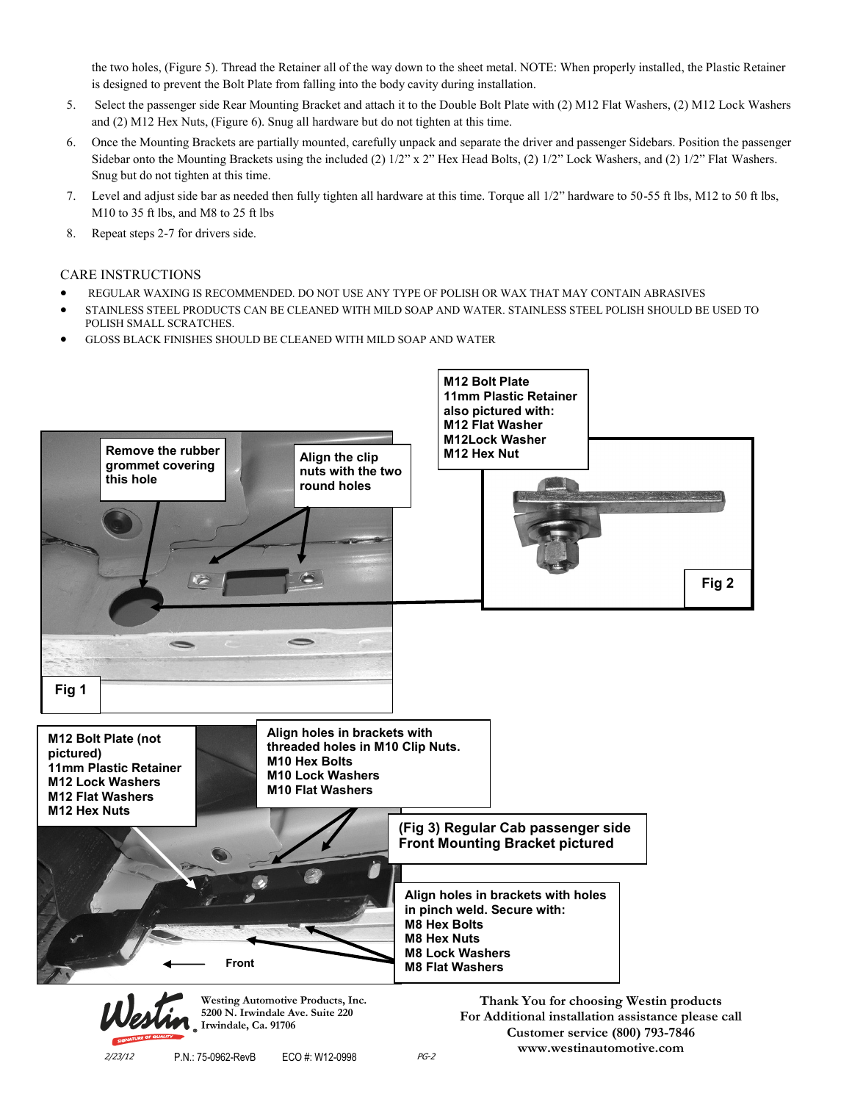the two holes, (Figure 5). Thread the Retainer all of the way down to the sheet metal. NOTE: When properly installed, the Plastic Retainer is designed to prevent the Bolt Plate from falling into the body cavity during installation.

- 5. Select the passenger side Rear Mounting Bracket and attach it to the Double Bolt Plate with (2) M12 Flat Washers, (2) M12 Lock Washers and (2) M12 Hex Nuts, (Figure 6). Snug all hardware but do not tighten at this time.
- 6. Once the Mounting Brackets are partially mounted, carefully unpack and separate the driver and passenger Sidebars. Position the passenger Sidebar onto the Mounting Brackets using the included (2) 1/2" x 2" Hex Head Bolts, (2) 1/2" Lock Washers, and (2) 1/2" Flat Washers. Snug but do not tighten at this time.
- 7. Level and adjust side bar as needed then fully tighten all hardware at this time. Torque all 1/2" hardware to 50-55 ft lbs, M12 to 50 ft lbs, M10 to 35 ft lbs, and M8 to 25 ft lbs
- 8. Repeat steps 2-7 for drivers side.

## CARE INSTRUCTIONS

- REGULAR WAXING IS RECOMMENDED. DO NOT USE ANY TYPE OF POLISH OR WAX THAT MAY CONTAIN ABRASIVES
- STAINLESS STEEL PRODUCTS CAN BE CLEANED WITH MILD SOAP AND WATER. STAINLESS STEEL POLISH SHOULD BE USED TO POLISH SMALL SCRATCHES.
- GLOSS BLACK FINISHES SHOULD BE CLEANED WITH MILD SOAP AND WATER



**www.westinautomotive.com**

2/23/12 P.N.: 75-0962-RevB ECO #: W12-0998 PG-2